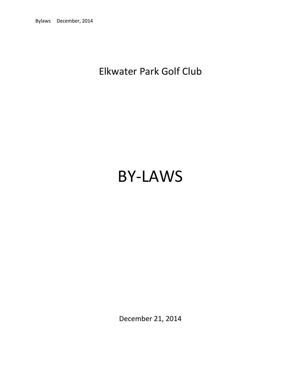# Elkwater Park Golf Club

# BY-LAWS

December 21, 2014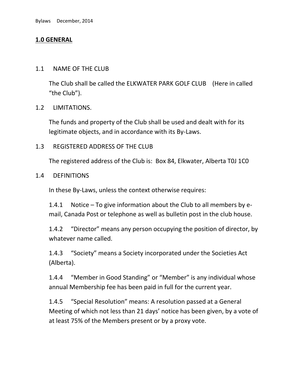# **1.0 GENERAL**

#### 1.1 NAME OF THE CLUB

The Club shall be called the ELKWATER PARK GOLF CLUB (Here in called "the Club").

#### 1.2 LIMITATIONS.

The funds and property of the Club shall be used and dealt with for its legitimate objects, and in accordance with its By-Laws.

#### 1.3 REGISTERED ADDRESS OF THE CLUB

The registered address of the Club is: Box 84, Elkwater, Alberta T0J 1C0

#### 1.4 DEFINITIONS

In these By-Laws, unless the context otherwise requires:

1.4.1 Notice – To give information about the Club to all members by email, Canada Post or telephone as well as bulletin post in the club house.

1.4.2 "Director" means any person occupying the position of director, by whatever name called.

1.4.3 "Society" means a Society incorporated under the Societies Act (Alberta).

1.4.4 "Member in Good Standing" or "Member" is any individual whose annual Membership fee has been paid in full for the current year.

1.4.5 "Special Resolution" means: A resolution passed at a General Meeting of which not less than 21 days' notice has been given, by a vote of at least 75% of the Members present or by a proxy vote.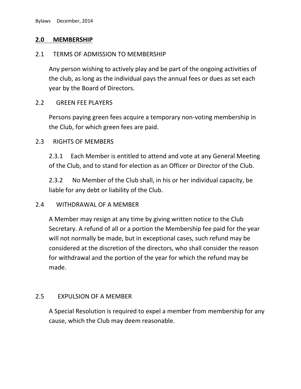#### **2.0 MEMBERSHIP**

#### 2.1 TERMS OF ADMISSION TO MEMBERSHIP

Any person wishing to actively play and be part of the ongoing activities of the club, as long as the individual pays the annual fees or dues as set each year by the Board of Directors.

#### 2.2 GREEN FEE PLAYERS

Persons paying green fees acquire a temporary non-voting membership in the Club, for which green fees are paid.

#### 2.3 RIGHTS OF MEMBERS

2.3.1 Each Member is entitled to attend and vote at any General Meeting of the Club, and to stand for election as an Officer or Director of the Club.

2.3.2 No Member of the Club shall, in his or her individual capacity, be liable for any debt or liability of the Club.

#### 2.4 WITHDRAWAL OF A MEMBER

A Member may resign at any time by giving written notice to the Club Secretary. A refund of all or a portion the Membership fee paid for the year will not normally be made, but in exceptional cases, such refund may be considered at the discretion of the directors, who shall consider the reason for withdrawal and the portion of the year for which the refund may be made.

#### 2.5 EXPULSION OF A MEMBER

A Special Resolution is required to expel a member from membership for any cause, which the Club may deem reasonable.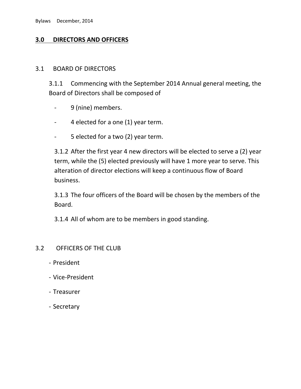# **3.0 DIRECTORS AND OFFICERS**

#### 3.1 BOARD OF DIRECTORS

3.1.1 Commencing with the September 2014 Annual general meeting, the Board of Directors shall be composed of

- 9 (nine) members.
- 4 elected for a one (1) year term.
- 5 elected for a two (2) year term.

3.1.2 After the first year 4 new directors will be elected to serve a (2) year term, while the (5) elected previously will have 1 more year to serve. This alteration of director elections will keep a continuous flow of Board business.

3.1.3 The four officers of the Board will be chosen by the members of the Board.

3.1.4 All of whom are to be members in good standing.

#### 3.2 OFFICERS OF THE CLUB

- President
- Vice-President
- Treasurer
- Secretary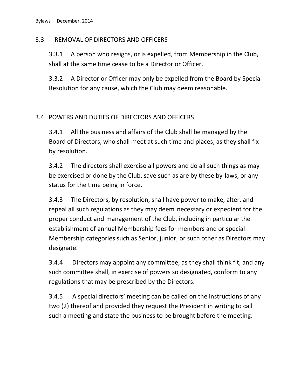# 3.3 REMOVAL OF DIRECTORS AND OFFICERS

3.3.1 A person who resigns, or is expelled, from Membership in the Club, shall at the same time cease to be a Director or Officer.

3.3.2 A Director or Officer may only be expelled from the Board by Special Resolution for any cause, which the Club may deem reasonable.

# 3.4 POWERS AND DUTIES OF DIRECTORS AND OFFICERS

3.4.1 All the business and affairs of the Club shall be managed by the Board of Directors, who shall meet at such time and places, as they shall fix by resolution.

3.4.2 The directors shall exercise all powers and do all such things as may be exercised or done by the Club, save such as are by these by-laws, or any status for the time being in force.

3.4.3 The Directors, by resolution, shall have power to make, alter, and repeal all such regulations as they may deem necessary or expedient for the proper conduct and management of the Club, including in particular the establishment of annual Membership fees for members and or special Membership categories such as Senior, junior, or such other as Directors may designate.

3.4.4 Directors may appoint any committee, as they shall think fit, and any such committee shall, in exercise of powers so designated, conform to any regulations that may be prescribed by the Directors.

3.4.5 A special directors' meeting can be called on the instructions of any two (2) thereof and provided they request the President in writing to call such a meeting and state the business to be brought before the meeting.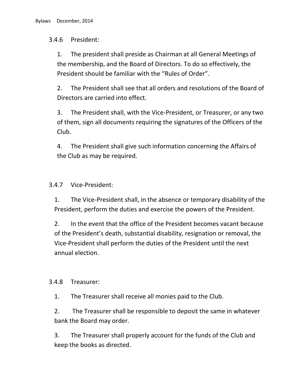# 3.4.6 President:

1. The president shall preside as Chairman at all General Meetings of the membership, and the Board of Directors. To do so effectively, the President should be familiar with the "Rules of Order".

2. The President shall see that all orders and resolutions of the Board of Directors are carried into effect.

3. The President shall, with the Vice-President, or Treasurer, or any two of them, sign all documents requiring the signatures of the Officers of the Club.

4. The President shall give such information concerning the Affairs of the Club as may be required.

# 3.4.7 Vice-President:

1. The Vice-President shall, in the absence or temporary disability of the President, perform the duties and exercise the powers of the President.

2. In the event that the office of the President becomes vacant because of the President's death, substantial disability, resignation or removal, the Vice-President shall perform the duties of the President until the next annual election.

#### 3.4.8 Treasurer:

1. The Treasurer shall receive all monies paid to the Club.

2. The Treasurer shall be responsible to deposit the same in whatever bank the Board may order.

3. The Treasurer shall properly account for the funds of the Club and keep the books as directed.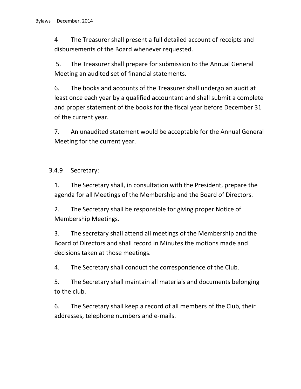4 The Treasurer shall present a full detailed account of receipts and disbursements of the Board whenever requested.

5. The Treasurer shall prepare for submission to the Annual General Meeting an audited set of financial statements.

6. The books and accounts of the Treasurer shall undergo an audit at least once each year by a qualified accountant and shall submit a complete and proper statement of the books for the fiscal year before December 31 of the current year.

7. An unaudited statement would be acceptable for the Annual General Meeting for the current year.

3.4.9 Secretary:

1. The Secretary shall, in consultation with the President, prepare the agenda for all Meetings of the Membership and the Board of Directors.

2. The Secretary shall be responsible for giving proper Notice of Membership Meetings.

3. The secretary shall attend all meetings of the Membership and the Board of Directors and shall record in Minutes the motions made and decisions taken at those meetings.

4. The Secretary shall conduct the correspondence of the Club.

5. The Secretary shall maintain all materials and documents belonging to the club.

6. The Secretary shall keep a record of all members of the Club, their addresses, telephone numbers and e-mails.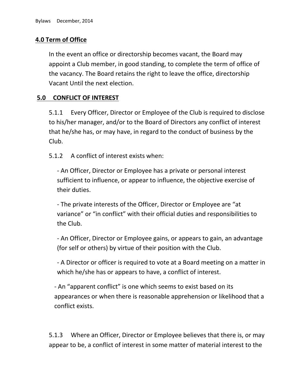# **4.0 Term of Office**

In the event an office or directorship becomes vacant, the Board may appoint a Club member, in good standing, to complete the term of office of the vacancy. The Board retains the right to leave the office, directorship Vacant Until the next election.

# **5.0 CONFLICT OF INTEREST**

5.1.1 Every Officer, Director or Employee of the Club is required to disclose to his/her manager, and/or to the Board of Directors any conflict of interest that he/she has, or may have, in regard to the conduct of business by the Club.

5.1.2 A conflict of interest exists when:

- An Officer, Director or Employee has a private or personal interest sufficient to influence, or appear to influence, the objective exercise of their duties.

- The private interests of the Officer, Director or Employee are "at variance" or "in conflict" with their official duties and responsibilities to the Club.

- An Officer, Director or Employee gains, or appears to gain, an advantage (for self or others) by virtue of their position with the Club.

- A Director or officer is required to vote at a Board meeting on a matter in which he/she has or appears to have, a conflict of interest.

- An "apparent conflict" is one which seems to exist based on its appearances or when there is reasonable apprehension or likelihood that a conflict exists.

5.1.3 Where an Officer, Director or Employee believes that there is, or may appear to be, a conflict of interest in some matter of material interest to the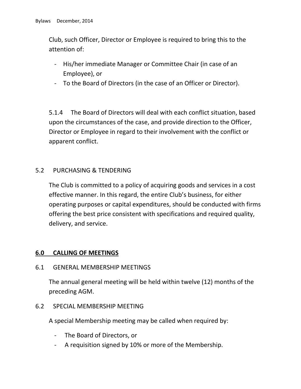Club, such Officer, Director or Employee is required to bring this to the attention of:

- His/her immediate Manager or Committee Chair (in case of an Employee), or
- To the Board of Directors (in the case of an Officer or Director).

5.1.4 The Board of Directors will deal with each conflict situation, based upon the circumstances of the case, and provide direction to the Officer, Director or Employee in regard to their involvement with the conflict or apparent conflict.

# 5.2 PURCHASING & TENDERING

The Club is committed to a policy of acquiring goods and services in a cost effective manner. In this regard, the entire Club's business, for either operating purposes or capital expenditures, should be conducted with firms offering the best price consistent with specifications and required quality, delivery, and service.

# **6.0 CALLING OF MEETINGS**

6.1 GENERAL MEMBERSHIP MEETINGS

The annual general meeting will be held within twelve (12) months of the preceding AGM.

# 6.2 SPECIAL MEMBERSHIP MEETING

A special Membership meeting may be called when required by:

- The Board of Directors, or
- A requisition signed by 10% or more of the Membership.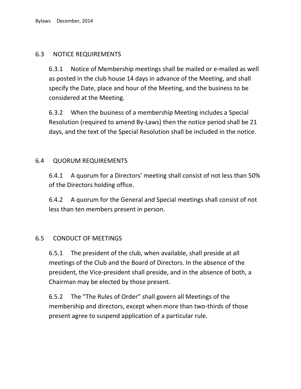# 6.3 NOTICE REQUIREMENTS

6.3.1 Notice of Membership meetings shall be mailed or e-mailed as well as posted in the club house 14 days in advance of the Meeting, and shall specify the Date, place and hour of the Meeting, and the business to be considered at the Meeting.

6.3.2 When the business of a membership Meeting includes a Special Resolution (required to amend By-Laws) then the notice period shall be 21 days, and the text of the Special Resolution shall be included in the notice.

# 6.4 QUORUM REQUIREMENTS

6.4.1 A quorum for a Directors' meeting shall consist of not less than 50% of the Directors holding office.

6.4.2 A quorum for the General and Special meetings shall consist of not less than ten members present in person.

# 6.5 CONDUCT OF MEETINGS

6.5.1 The president of the club, when available, shall preside at all meetings of the Club and the Board of Directors. In the absence of the president, the Vice-president shall preside, and in the absence of both, a Chairman may be elected by those present.

6.5.2 The "The Rules of Order" shall govern all Meetings of the membership and directors, except when more than two-thirds of those present agree to suspend application of a particular rule.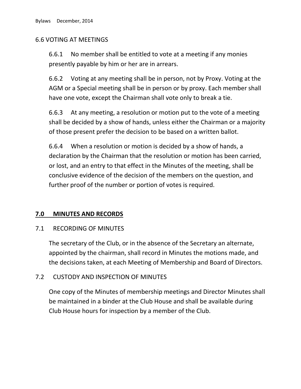# 6.6 VOTING AT MEETINGS

6.6.1 No member shall be entitled to vote at a meeting if any monies presently payable by him or her are in arrears.

6.6.2 Voting at any meeting shall be in person, not by Proxy. Voting at the AGM or a Special meeting shall be in person or by proxy. Each member shall have one vote, except the Chairman shall vote only to break a tie.

6.6.3 At any meeting, a resolution or motion put to the vote of a meeting shall be decided by a show of hands, unless either the Chairman or a majority of those present prefer the decision to be based on a written ballot.

6.6.4 When a resolution or motion is decided by a show of hands, a declaration by the Chairman that the resolution or motion has been carried, or lost, and an entry to that effect in the Minutes of the meeting, shall be conclusive evidence of the decision of the members on the question, and further proof of the number or portion of votes is required.

# **7.0 MINUTES AND RECORDS**

#### 7.1 RECORDING OF MINUTES

The secretary of the Club, or in the absence of the Secretary an alternate, appointed by the chairman, shall record in Minutes the motions made, and the decisions taken, at each Meeting of Membership and Board of Directors.

# 7.2 CUSTODY AND INSPECTION OF MINUTES

One copy of the Minutes of membership meetings and Director Minutes shall be maintained in a binder at the Club House and shall be available during Club House hours for inspection by a member of the Club.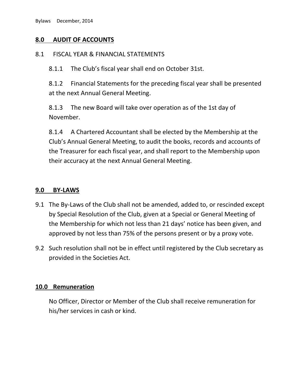# **8.0 AUDIT OF ACCOUNTS**

#### 8.1 FISCAL YEAR & FINANCIAL STATEMENTS

8.1.1 The Club's fiscal year shall end on October 31st.

8.1.2 Financial Statements for the preceding fiscal year shall be presented at the next Annual General Meeting.

8.1.3 The new Board will take over operation as of the 1st day of November.

8.1.4 A Chartered Accountant shall be elected by the Membership at the Club's Annual General Meeting, to audit the books, records and accounts of the Treasurer for each fiscal year, and shall report to the Membership upon their accuracy at the next Annual General Meeting.

#### **9.0 BY-LAWS**

- 9.1 The By-Laws of the Club shall not be amended, added to, or rescinded except by Special Resolution of the Club, given at a Special or General Meeting of the Membership for which not less than 21 days' notice has been given, and approved by not less than 75% of the persons present or by a proxy vote.
- 9.2 Such resolution shall not be in effect until registered by the Club secretary as provided in the Societies Act.

#### **10.0 Remuneration**

No Officer, Director or Member of the Club shall receive remuneration for his/her services in cash or kind.